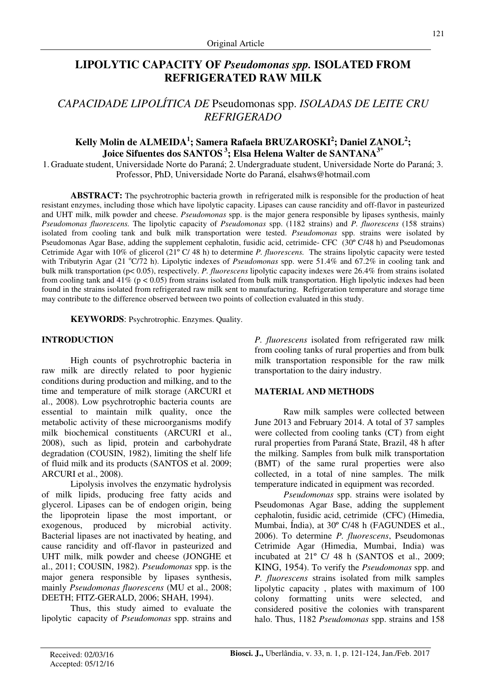# **LIPOLYTIC CAPACITY OF** *Pseudomonas spp.* **ISOLATED FROM REFRIGERATED RAW MILK**

## *CAPACIDADE LIPOLÍTICA DE* Pseudomonas spp. *ISOLADAS DE LEITE CRU REFRIGERADO*

## **Kelly Molin de ALMEIDA<sup>1</sup> ; Samera Rafaela BRUZAROSKI<sup>2</sup> ; Daniel ZANOL<sup>2</sup> ; Joice Sifuentes dos SANTOS<sup>3</sup>; Elsa Helena Walter de SANTANA3\***

1. Graduate student, Universidade Norte do Paraná; 2. Undergraduate student, Universidade Norte do Paraná; 3. Professor, PhD, Universidade Norte do Paraná, elsahws@hotmail.com

**ABSTRACT:** The psychrotrophic bacteria growth in refrigerated milk is responsible for the production of heat resistant enzymes, including those which have lipolytic capacity. Lipases can cause rancidity and off-flavor in pasteurized and UHT milk, milk powder and cheese. *Pseudomonas* spp. is the major genera responsible by lipases synthesis, mainly *Pseudomonas fluorescens.* The lipolytic capacity of *Pseudomonas* spp. (1182 strains) and *P. fluorescens* (158 strains) isolated from cooling tank and bulk milk transportation were tested. *Pseudomonas* spp. strains were isolated by Pseudomonas Agar Base, adding the supplement cephalotin, fusidic acid, cetrimide- CFC (30º C/48 h) and Pseudomonas Cetrimide Agar with 10% of glicerol (21º C/ 48 h) to determine *P. fluorescens.* The strains lipolytic capacity were tested with Tributyrin Agar (21 °C/72 h). Lipolytic indexes of *Pseudomonas* spp. were 51.4% and 67.2% in cooling tank and bulk milk transportation (p< 0.05), respectively. *P. fluorescens* lipolytic capacity indexes were 26.4% from strains isolated from cooling tank and  $41\%$  ( $p < 0.05$ ) from strains isolated from bulk milk transportation. High lipolytic indexes had been found in the strains isolated from refrigerated raw milk sent to manufacturing. Refrigeration temperature and storage time may contribute to the difference observed between two points of collection evaluated in this study.

**KEYWORDS**: Psychrotrophic. Enzymes. Quality.

## **INTRODUCTION**

High counts of psychrotrophic bacteria in raw milk are directly related to poor hygienic conditions during production and milking, and to the time and temperature of milk storage (ARCURI et al., 2008). Low psychrotrophic bacteria counts are essential to maintain milk quality, once the metabolic activity of these microorganisms modify milk biochemical constituents (ARCURI et al., 2008), such as lipid, protein and carbohydrate degradation (COUSIN, 1982), limiting the shelf life of fluid milk and its products (SANTOS et al. 2009; ARCURI et al., 2008).

Lipolysis involves the enzymatic hydrolysis of milk lipids, producing free fatty acids and glycerol. Lipases can be of endogen origin, being the lipoprotein lipase the most important, or exogenous, produced by microbial activity. Bacterial lipases are not inactivated by heating, and cause rancidity and off-flavor in pasteurized and UHT milk, milk powder and cheese (JONGHE et al., 2011; COUSIN, 1982). *Pseudomonas* spp. is the major genera responsible by lipases synthesis, mainly *Pseudomonas fluorescens* (MU et al., 2008; DEETH; FITZ-GERALD, 2006; SHAH, 1994).

Thus, this study aimed to evaluate the lipolytic capacity of *Pseudomonas* spp. strains and *P. fluorescens* isolated from refrigerated raw milk from cooling tanks of rural properties and from bulk milk transportation responsible for the raw milk transportation to the dairy industry.

### **MATERIAL AND METHODS**

Raw milk samples were collected between June 2013 and February 2014. A total of 37 samples were collected from cooling tanks (CT) from eight rural properties from Paraná State, Brazil, 48 h after the milking. Samples from bulk milk transportation (BMT) of the same rural properties were also collected, in a total of nine samples. The milk temperature indicated in equipment was recorded.

*Pseudomonas* spp. strains were isolated by Pseudomonas Agar Base, adding the supplement cephalotin, fusidic acid, cetrimide (CFC) (Himedia, Mumbai, Índia), at 30º C/48 h (FAGUNDES et al., 2006). To determine *P. fluorescens*, Pseudomonas Cetrimide Agar (Himedia, Mumbai, India) was incubated at 21º C/ 48 h (SANTOS et al., 2009; KING, 1954). To verify the *Pseudomonas* spp. and *P. fluorescens* strains isolated from milk samples lipolytic capacity , plates with maximum of 100 colony formatting units were selected, and considered positive the colonies with transparent halo. Thus, 1182 *Pseudomonas* spp. strains and 158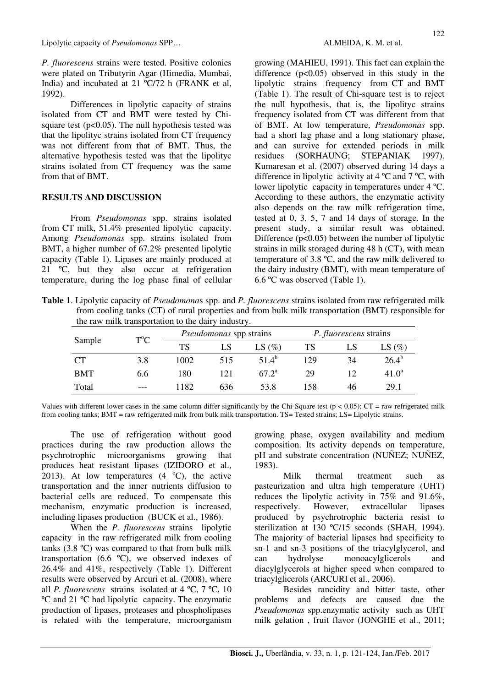Lipolytic capacity of *Pseudomonas* SPP… ALMEIDA, K. M. et al.

*P. fluorescens* strains were tested. Positive colonies were plated on Tributyrin Agar (Himedia, Mumbai, India) and incubated at 21 ºC/72 h (FRANK et al, 1992).

Differences in lipolytic capacity of strains isolated from CT and BMT were tested by Chisquare test ( $p<0.05$ ). The null hypothesis tested was that the lipolityc strains isolated from CT frequency was not different from that of BMT. Thus, the alternative hypothesis tested was that the lipolityc strains isolated from CT frequency was the same from that of BMT.

#### **RESULTS AND DISCUSSION**

From *Pseudomonas* spp. strains isolated from CT milk, 51.4% presented lipolytic capacity. Among *Pseudomonas* spp. strains isolated from BMT, a higher number of 67.2% presented lipolytic capacity (Table 1). Lipases are mainly produced at 21 °C, but they also occur at refrigeration temperature, during the log phase final of cellular growing (MAHIEU, 1991). This fact can explain the difference  $(p<0.05)$  observed in this study in the lipolytic strains frequency from CT and BMT (Table 1). The result of Chi-square test is to reject the null hypothesis, that is, the lipolityc strains frequency isolated from CT was different from that of BMT. At low temperature, *Pseudomonas* spp. had a short lag phase and a long stationary phase, and can survive for extended periods in milk residues (SORHAUNG; STEPANIAK 1997). Kumaresan et al. (2007) observed during 14 days a difference in lipolytic activity at 4 ºC and 7 ºC, with lower lipolytic capacity in temperatures under 4 ºC. According to these authors, the enzymatic activity also depends on the raw milk refrigeration time, tested at 0, 3, 5, 7 and 14 days of storage. In the present study, a similar result was obtained. Difference  $(p<0.05)$  between the number of lipolytic strains in milk storaged during 48 h (CT), with mean temperature of 3.8 ºC, and the raw milk delivered to the dairy industry (BMT), with mean temperature of 6.6 ºC was observed (Table 1).

**Table 1**. Lipolytic capacity of *Pseudomona*s spp. and *P. fluorescens* strains isolated from raw refrigerated milk from cooling tanks (CT) of rural properties and from bulk milk transportation (BMT) responsible for the raw milk transportation to the dairy industry.

| Sample     | $T^{\circ}C$ | <i>Pseudomonas</i> spp strains |     |                | <i>P. fluorescens</i> strains |    |                |
|------------|--------------|--------------------------------|-----|----------------|-------------------------------|----|----------------|
|            |              | TS                             | LS  | LS $(\%)$      | TS                            | LS | LS $(\%)$      |
| <b>CT</b>  | 3.8          | 1002                           | 515 | $51.4^b$       | 129                           | 34 | $26.4^{\circ}$ |
| <b>BMT</b> | 6.6          | 180                            | 121 | $67.2^{\rm a}$ | 29                            |    | $41.0^a$       |
| Total      | $---$        | 1182                           | 636 | 53.8           | 158                           | 46 | 29.1           |

Values with different lower cases in the same column differ significantly by the Chi-Square test ( $p < 0.05$ ); CT = raw refrigerated milk from cooling tanks; BMT = raw refrigerated milk from bulk milk transportation. TS= Tested strains; LS= Lipolytic strains.

The use of refrigeration without good practices during the raw production allows the psychrotrophic microorganisms growing that produces heat resistant lipases (IZIDORO et al., 2013). At low temperatures  $(4 \degree C)$ , the active transportation and the inner nutrients diffusion to bacterial cells are reduced. To compensate this mechanism, enzymatic production is increased, including lipases production (BUCK et al., 1986).

When the *P. fluorescens* strains lipolytic capacity in the raw refrigerated milk from cooling tanks (3.8 ºC) was compared to that from bulk milk transportation (6.6 ºC), we observed indexes of 26.4% and 41%, respectively (Table 1). Different results were observed by Arcuri et al. (2008), where all *P. fluorescens* strains isolated at  $4^{\circ}C$ ,  $7^{\circ}C$ ,  $10$ ºC and 21 ºC had lipolytic capacity. The enzymatic production of lipases, proteases and phospholipases is related with the temperature, microorganism growing phase, oxygen availability and medium composition. Its activity depends on temperature, pH and substrate concentration (NUÑEZ; NUÑEZ, 1983).

Milk thermal treatment such as pasteurization and ultra high temperature (UHT) reduces the lipolytic activity in 75% and 91.6%, respectively. However, extracellular lipases produced by psychrotrophic bacteria resist to sterilization at 130 °C/15 seconds (SHAH, 1994). The majority of bacterial lipases had specificity to sn-1 and sn-3 positions of the triacylglycerol, and can hydrolyse monoacylglicerols and diacylglycerols at higher speed when compared to triacylglicerols (ARCURI et al., 2006).

Besides rancidity and bitter taste, other problems and defects are caused due the *Pseudomonas* spp.enzymatic activity such as UHT milk gelation , fruit flavor (JONGHE et al., 2011;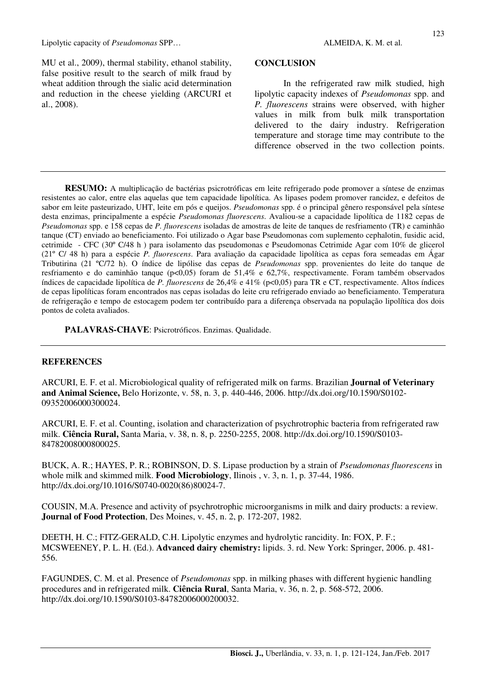MU et al., 2009), thermal stability, ethanol stability, false positive result to the search of milk fraud by wheat addition through the sialic acid determination and reduction in the cheese yielding (ARCURI et al., 2008).

#### **CONCLUSION**

In the refrigerated raw milk studied, high lipolytic capacity indexes of *Pseudomonas* spp. and *P. fluorescens* strains were observed, with higher values in milk from bulk milk transportation delivered to the dairy industry. Refrigeration temperature and storage time may contribute to the difference observed in the two collection points.

**RESUMO:** A multiplicação de bactérias psicrotróficas em leite refrigerado pode promover a síntese de enzimas resistentes ao calor, entre elas aquelas que tem capacidade lipolítica. As lipases podem promover rancidez, e defeitos de sabor em leite pasteurizado, UHT, leite em pós e queijos. *Pseudomonas* spp. é o principal gênero responsável pela síntese desta enzimas, principalmente a espécie *Pseudomonas fluorescens*. Avaliou-se a capacidade lipolítica de 1182 cepas de *Pseudomonas* spp. e 158 cepas de *P. fluorescens* isoladas de amostras de leite de tanques de resfriamento (TR) e caminhão tanque (CT) enviado ao beneficiamento. Foi utilizado o Agar base Pseudomonas com suplemento cephalotin, fusidic acid, cetrimide - CFC (30º C/48 h ) para isolamento das pseudomonas e Pseudomonas Cetrimide Agar com 10% de glicerol (21º C/ 48 h) para a espécie *P. fluorescens*. Para avaliação da capacidade lipolítica as cepas fora semeadas em Ágar Tributirina (21 ºC/72 h). O índice de lipólise das cepas de *Pseudomonas* spp. provenientes do leite do tanque de resfriamento e do caminhão tanque (p<0,05) foram de 51,4% e 62,7%, respectivamente. Foram também observados índices de capacidade lipolítica de *P. fluorescens* de 26,4% e 41% (p<0,05) para TR e CT, respectivamente. Altos índices de cepas lipolíticas foram encontrados nas cepas isoladas do leite cru refrigerado enviado ao beneficiamento. Temperatura de refrigeração e tempo de estocagem podem ter contribuído para a diferença observada na população lipolítica dos dois pontos de coleta avaliados.

**PALAVRAS-CHAVE**: Psicrotróficos. Enzimas. Qualidade.

### **REFERENCES**

ARCURI, E. F. et al. Microbiological quality of refrigerated milk on farms. Brazilian **Journal of Veterinary and Animal Science,** Belo Horizonte, v. 58, n. 3, p. 440-446, 2006. http://dx.doi.org/10.1590/S0102- 09352006000300024.

ARCURI, E. F. et al. Counting, isolation and characterization of psychrotrophic bacteria from refrigerated raw milk. **Ciência Rural,** Santa Maria, v. 38, n. 8, p. 2250-2255, 2008. http://dx.doi.org/10.1590/S0103- 84782008000800025.

BUCK, A. R.; HAYES, P. R.; ROBINSON, D. S. Lipase production by a strain of *Pseudomonas fluorescens* in whole milk and skimmed milk. **Food Microbiology**, Ilinois , v. 3, n. 1, p. 37-44, 1986. http://dx.doi.org/10.1016/S0740-0020(86)80024-7.

COUSIN, M.A. Presence and activity of psychrotrophic microorganisms in milk and dairy products: a review. **Journal of Food Protection**, Des Moines, v. 45, n. 2, p. 172-207, 1982.

DEETH, H. C.; FITZ-GERALD, C.H. Lipolytic enzymes and hydrolytic rancidity. In: FOX, P. F.; MCSWEENEY, P. L. H. (Ed.). **Advanced dairy chemistry:** lipids. 3. rd. New York: Springer, 2006. p. 481- 556.

FAGUNDES, C. M. et al. Presence of *Pseudomonas* spp. in milking phases with different hygienic handling procedures and in refrigerated milk. **Ciência Rural**, Santa Maria, v. 36, n. 2, p. 568-572, 2006. http://dx.doi.org/10.1590/S0103-84782006000200032.